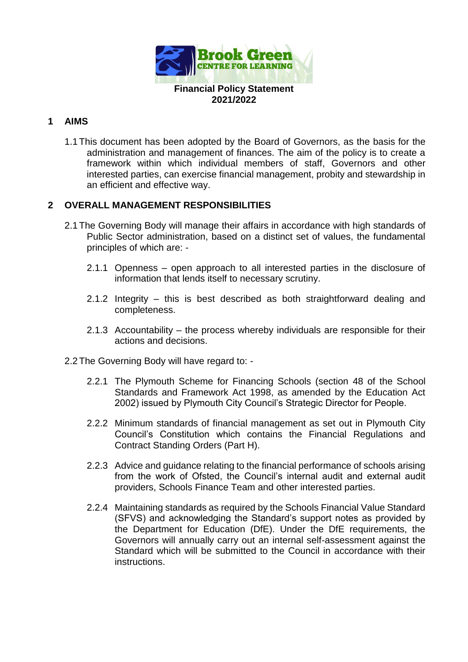

### **1 AIMS**

1.1This document has been adopted by the Board of Governors, as the basis for the administration and management of finances. The aim of the policy is to create a framework within which individual members of staff, Governors and other interested parties, can exercise financial management, probity and stewardship in an efficient and effective way.

### **2 OVERALL MANAGEMENT RESPONSIBILITIES**

- 2.1The Governing Body will manage their affairs in accordance with high standards of Public Sector administration, based on a distinct set of values, the fundamental principles of which are: -
	- 2.1.1 Openness open approach to all interested parties in the disclosure of information that lends itself to necessary scrutiny.
	- 2.1.2 Integrity this is best described as both straightforward dealing and completeness.
	- 2.1.3 Accountability the process whereby individuals are responsible for their actions and decisions.
- 2.2The Governing Body will have regard to:
	- 2.2.1 The Plymouth Scheme for Financing Schools (section 48 of the School Standards and Framework Act 1998, as amended by the Education Act 2002) issued by Plymouth City Council's Strategic Director for People.
	- 2.2.2 Minimum standards of financial management as set out in Plymouth City Council's Constitution which contains the Financial Regulations and Contract Standing Orders (Part H).
	- 2.2.3 Advice and guidance relating to the financial performance of schools arising from the work of Ofsted, the Council's internal audit and external audit providers, Schools Finance Team and other interested parties.
	- 2.2.4 Maintaining standards as required by the Schools Financial Value Standard (SFVS) and acknowledging the Standard's support notes as provided by the Department for Education (DfE). Under the DfE requirements, the Governors will annually carry out an internal self-assessment against the Standard which will be submitted to the Council in accordance with their instructions.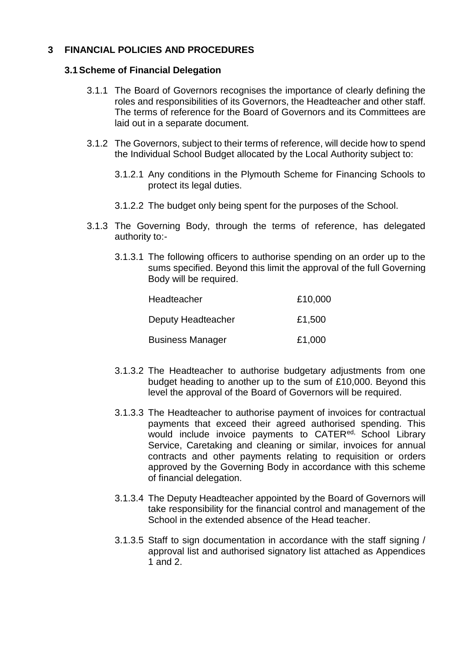# **3 FINANCIAL POLICIES AND PROCEDURES**

#### **3.1Scheme of Financial Delegation**

- 3.1.1 The Board of Governors recognises the importance of clearly defining the roles and responsibilities of its Governors, the Headteacher and other staff. The terms of reference for the Board of Governors and its Committees are laid out in a separate document.
- 3.1.2 The Governors, subject to their terms of reference, will decide how to spend the Individual School Budget allocated by the Local Authority subject to:
	- 3.1.2.1 Any conditions in the Plymouth Scheme for Financing Schools to protect its legal duties.
	- 3.1.2.2 The budget only being spent for the purposes of the School.
- 3.1.3 The Governing Body, through the terms of reference, has delegated authority to:-
	- 3.1.3.1 The following officers to authorise spending on an order up to the sums specified. Beyond this limit the approval of the full Governing Body will be required.

| Headteacher             | £10,000 |
|-------------------------|---------|
| Deputy Headteacher      | £1,500  |
| <b>Business Manager</b> | £1,000  |

- 3.1.3.2 The Headteacher to authorise budgetary adjustments from one budget heading to another up to the sum of £10,000. Beyond this level the approval of the Board of Governors will be required.
- 3.1.3.3 The Headteacher to authorise payment of invoices for contractual payments that exceed their agreed authorised spending. This would include invoice payments to CATER<sup>ed,</sup> School Library Service, Caretaking and cleaning or similar, invoices for annual contracts and other payments relating to requisition or orders approved by the Governing Body in accordance with this scheme of financial delegation.
- 3.1.3.4 The Deputy Headteacher appointed by the Board of Governors will take responsibility for the financial control and management of the School in the extended absence of the Head teacher.
- 3.1.3.5 Staff to sign documentation in accordance with the staff signing / approval list and authorised signatory list attached as Appendices 1 and 2.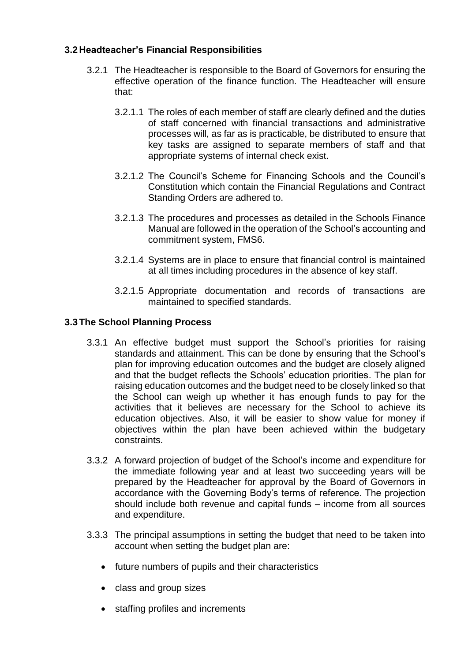# **3.2 Headteacher's Financial Responsibilities**

- 3.2.1 The Headteacher is responsible to the Board of Governors for ensuring the effective operation of the finance function. The Headteacher will ensure that:
	- 3.2.1.1 The roles of each member of staff are clearly defined and the duties of staff concerned with financial transactions and administrative processes will, as far as is practicable, be distributed to ensure that key tasks are assigned to separate members of staff and that appropriate systems of internal check exist.
	- 3.2.1.2 The Council's Scheme for Financing Schools and the Council's Constitution which contain the Financial Regulations and Contract Standing Orders are adhered to.
	- 3.2.1.3 The procedures and processes as detailed in the Schools Finance Manual are followed in the operation of the School's accounting and commitment system, FMS6.
	- 3.2.1.4 Systems are in place to ensure that financial control is maintained at all times including procedures in the absence of key staff.
	- 3.2.1.5 Appropriate documentation and records of transactions are maintained to specified standards.

# **3.3The School Planning Process**

- 3.3.1 An effective budget must support the School's priorities for raising standards and attainment. This can be done by ensuring that the School's plan for improving education outcomes and the budget are closely aligned and that the budget reflects the Schools' education priorities. The plan for raising education outcomes and the budget need to be closely linked so that the School can weigh up whether it has enough funds to pay for the activities that it believes are necessary for the School to achieve its education objectives. Also, it will be easier to show value for money if objectives within the plan have been achieved within the budgetary constraints.
- 3.3.2 A forward projection of budget of the School's income and expenditure for the immediate following year and at least two succeeding years will be prepared by the Headteacher for approval by the Board of Governors in accordance with the Governing Body's terms of reference. The projection should include both revenue and capital funds – income from all sources and expenditure.
- 3.3.3 The principal assumptions in setting the budget that need to be taken into account when setting the budget plan are:
	- future numbers of pupils and their characteristics
	- class and group sizes
	- staffing profiles and increments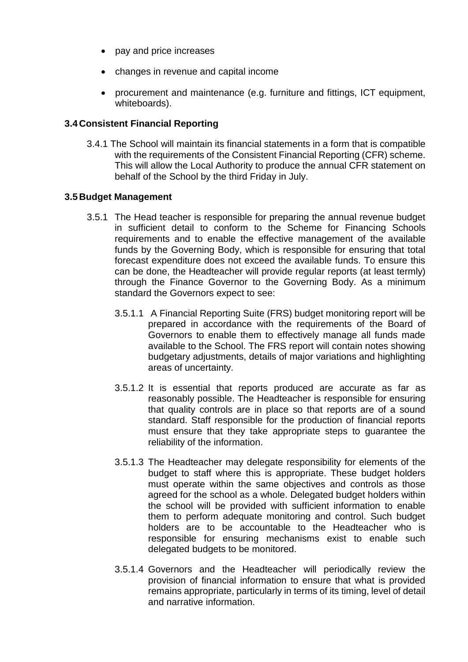- pay and price increases
- changes in revenue and capital income
- procurement and maintenance (e.g. furniture and fittings, ICT equipment, whiteboards).

### **3.4 Consistent Financial Reporting**

3.4.1 The School will maintain its financial statements in a form that is compatible with the requirements of the Consistent Financial Reporting (CFR) scheme. This will allow the Local Authority to produce the annual CFR statement on behalf of the School by the third Friday in July.

### **3.5 Budget Management**

- 3.5.1 The Head teacher is responsible for preparing the annual revenue budget in sufficient detail to conform to the Scheme for Financing Schools requirements and to enable the effective management of the available funds by the Governing Body, which is responsible for ensuring that total forecast expenditure does not exceed the available funds. To ensure this can be done, the Headteacher will provide regular reports (at least termly) through the Finance Governor to the Governing Body. As a minimum standard the Governors expect to see:
	- 3.5.1.1 A Financial Reporting Suite (FRS) budget monitoring report will be prepared in accordance with the requirements of the Board of Governors to enable them to effectively manage all funds made available to the School. The FRS report will contain notes showing budgetary adjustments, details of major variations and highlighting areas of uncertainty.
	- 3.5.1.2 It is essential that reports produced are accurate as far as reasonably possible. The Headteacher is responsible for ensuring that quality controls are in place so that reports are of a sound standard. Staff responsible for the production of financial reports must ensure that they take appropriate steps to guarantee the reliability of the information.
	- 3.5.1.3 The Headteacher may delegate responsibility for elements of the budget to staff where this is appropriate. These budget holders must operate within the same objectives and controls as those agreed for the school as a whole. Delegated budget holders within the school will be provided with sufficient information to enable them to perform adequate monitoring and control. Such budget holders are to be accountable to the Headteacher who is responsible for ensuring mechanisms exist to enable such delegated budgets to be monitored.
	- 3.5.1.4 Governors and the Headteacher will periodically review the provision of financial information to ensure that what is provided remains appropriate, particularly in terms of its timing, level of detail and narrative information.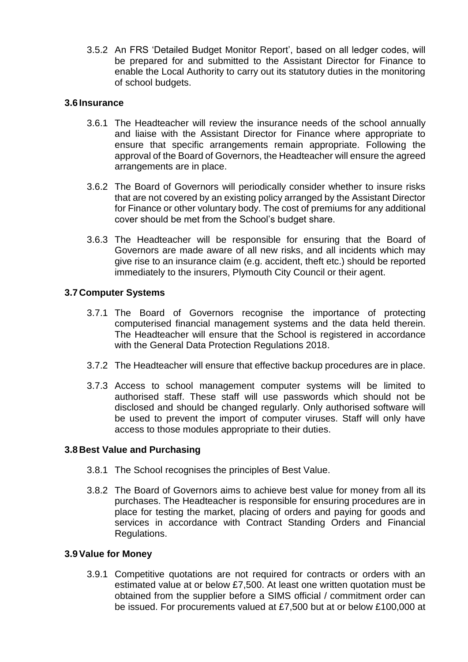3.5.2 An FRS 'Detailed Budget Monitor Report', based on all ledger codes, will be prepared for and submitted to the Assistant Director for Finance to enable the Local Authority to carry out its statutory duties in the monitoring of school budgets.

### **3.6 Insurance**

- 3.6.1 The Headteacher will review the insurance needs of the school annually and liaise with the Assistant Director for Finance where appropriate to ensure that specific arrangements remain appropriate. Following the approval of the Board of Governors, the Headteacher will ensure the agreed arrangements are in place.
- 3.6.2 The Board of Governors will periodically consider whether to insure risks that are not covered by an existing policy arranged by the Assistant Director for Finance or other voluntary body. The cost of premiums for any additional cover should be met from the School's budget share.
- 3.6.3 The Headteacher will be responsible for ensuring that the Board of Governors are made aware of all new risks, and all incidents which may give rise to an insurance claim (e.g. accident, theft etc.) should be reported immediately to the insurers, Plymouth City Council or their agent.

# **3.7 Computer Systems**

- 3.7.1 The Board of Governors recognise the importance of protecting computerised financial management systems and the data held therein. The Headteacher will ensure that the School is registered in accordance with the General Data Protection Regulations 2018.
- 3.7.2 The Headteacher will ensure that effective backup procedures are in place.
- 3.7.3 Access to school management computer systems will be limited to authorised staff. These staff will use passwords which should not be disclosed and should be changed regularly. Only authorised software will be used to prevent the import of computer viruses. Staff will only have access to those modules appropriate to their duties.

#### **3.8 Best Value and Purchasing**

- 3.8.1 The School recognises the principles of Best Value.
- 3.8.2 The Board of Governors aims to achieve best value for money from all its purchases. The Headteacher is responsible for ensuring procedures are in place for testing the market, placing of orders and paying for goods and services in accordance with Contract Standing Orders and Financial Regulations.

#### **3.9Value for Money**

3.9.1 Competitive quotations are not required for contracts or orders with an estimated value at or below £7,500. At least one written quotation must be obtained from the supplier before a SIMS official / commitment order can be issued. For procurements valued at £7,500 but at or below £100,000 at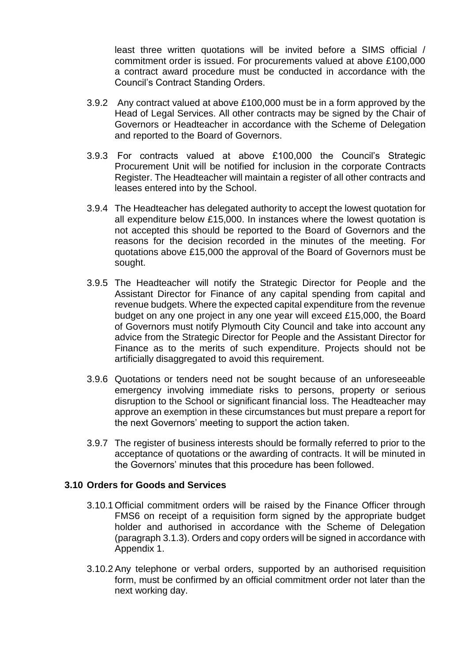least three written quotations will be invited before a SIMS official / commitment order is issued. For procurements valued at above £100,000 a contract award procedure must be conducted in accordance with the Council's Contract Standing Orders.

- 3.9.2 Any contract valued at above £100,000 must be in a form approved by the Head of Legal Services. All other contracts may be signed by the Chair of Governors or Headteacher in accordance with the Scheme of Delegation and reported to the Board of Governors.
- 3.9.3 For contracts valued at above £100,000 the Council's Strategic Procurement Unit will be notified for inclusion in the corporate Contracts Register. The Headteacher will maintain a register of all other contracts and leases entered into by the School.
- 3.9.4 The Headteacher has delegated authority to accept the lowest quotation for all expenditure below £15,000. In instances where the lowest quotation is not accepted this should be reported to the Board of Governors and the reasons for the decision recorded in the minutes of the meeting. For quotations above £15,000 the approval of the Board of Governors must be sought.
- 3.9.5 The Headteacher will notify the Strategic Director for People and the Assistant Director for Finance of any capital spending from capital and revenue budgets. Where the expected capital expenditure from the revenue budget on any one project in any one year will exceed £15,000, the Board of Governors must notify Plymouth City Council and take into account any advice from the Strategic Director for People and the Assistant Director for Finance as to the merits of such expenditure. Projects should not be artificially disaggregated to avoid this requirement.
- 3.9.6 Quotations or tenders need not be sought because of an unforeseeable emergency involving immediate risks to persons, property or serious disruption to the School or significant financial loss. The Headteacher may approve an exemption in these circumstances but must prepare a report for the next Governors' meeting to support the action taken.
- 3.9.7 The register of business interests should be formally referred to prior to the acceptance of quotations or the awarding of contracts. It will be minuted in the Governors' minutes that this procedure has been followed.

#### **3.10 Orders for Goods and Services**

- 3.10.1 Official commitment orders will be raised by the Finance Officer through FMS6 on receipt of a requisition form signed by the appropriate budget holder and authorised in accordance with the Scheme of Delegation (paragraph 3.1.3). Orders and copy orders will be signed in accordance with Appendix 1.
- 3.10.2 Any telephone or verbal orders, supported by an authorised requisition form, must be confirmed by an official commitment order not later than the next working day.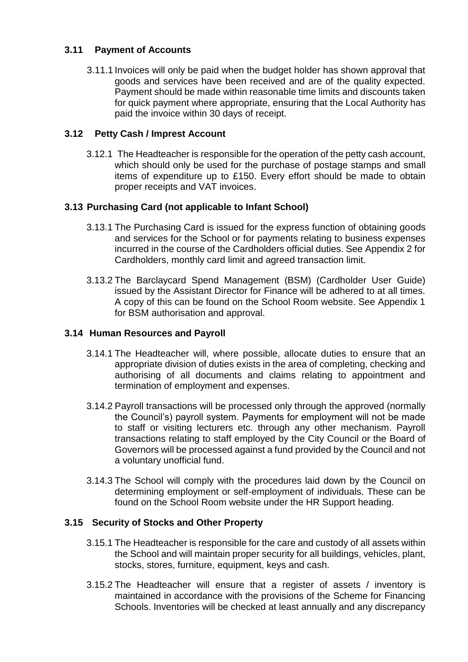# **3.11 Payment of Accounts**

3.11.1 Invoices will only be paid when the budget holder has shown approval that goods and services have been received and are of the quality expected. Payment should be made within reasonable time limits and discounts taken for quick payment where appropriate, ensuring that the Local Authority has paid the invoice within 30 days of receipt.

# **3.12 Petty Cash / Imprest Account**

3.12.1 The Headteacher is responsible for the operation of the petty cash account, which should only be used for the purchase of postage stamps and small items of expenditure up to £150. Every effort should be made to obtain proper receipts and VAT invoices.

# **3.13 Purchasing Card (not applicable to Infant School)**

- 3.13.1 The Purchasing Card is issued for the express function of obtaining goods and services for the School or for payments relating to business expenses incurred in the course of the Cardholders official duties. See Appendix 2 for Cardholders, monthly card limit and agreed transaction limit.
- 3.13.2 The Barclaycard Spend Management (BSM) (Cardholder User Guide) issued by the Assistant Director for Finance will be adhered to at all times. A copy of this can be found on the School Room website. See Appendix 1 for BSM authorisation and approval.

# **3.14 Human Resources and Payroll**

- 3.14.1 The Headteacher will, where possible, allocate duties to ensure that an appropriate division of duties exists in the area of completing, checking and authorising of all documents and claims relating to appointment and termination of employment and expenses.
- 3.14.2 Payroll transactions will be processed only through the approved (normally the Council's) payroll system. Payments for employment will not be made to staff or visiting lecturers etc. through any other mechanism. Payroll transactions relating to staff employed by the City Council or the Board of Governors will be processed against a fund provided by the Council and not a voluntary unofficial fund.
- 3.14.3 The School will comply with the procedures laid down by the Council on determining employment or self-employment of individuals. These can be found on the School Room website under the HR Support heading.

# **3.15 Security of Stocks and Other Property**

- 3.15.1 The Headteacher is responsible for the care and custody of all assets within the School and will maintain proper security for all buildings, vehicles, plant, stocks, stores, furniture, equipment, keys and cash.
- 3.15.2 The Headteacher will ensure that a register of assets / inventory is maintained in accordance with the provisions of the Scheme for Financing Schools. Inventories will be checked at least annually and any discrepancy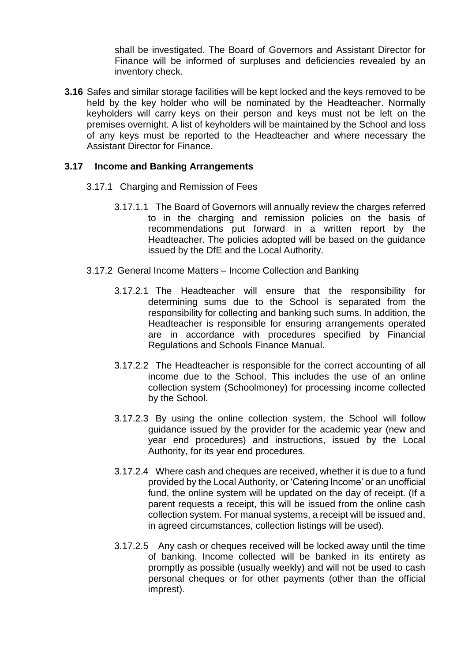shall be investigated. The Board of Governors and Assistant Director for Finance will be informed of surpluses and deficiencies revealed by an inventory check.

**3.16** Safes and similar storage facilities will be kept locked and the keys removed to be held by the key holder who will be nominated by the Headteacher. Normally keyholders will carry keys on their person and keys must not be left on the premises overnight. A list of keyholders will be maintained by the School and loss of any keys must be reported to the Headteacher and where necessary the Assistant Director for Finance.

#### **3.17 Income and Banking Arrangements**

- 3.17.1 Charging and Remission of Fees
	- 3.17.1.1 The Board of Governors will annually review the charges referred to in the charging and remission policies on the basis of recommendations put forward in a written report by the Headteacher. The policies adopted will be based on the guidance issued by the DfE and the Local Authority.
- 3.17.2 General Income Matters Income Collection and Banking
	- 3.17.2.1 The Headteacher will ensure that the responsibility for determining sums due to the School is separated from the responsibility for collecting and banking such sums. In addition, the Headteacher is responsible for ensuring arrangements operated are in accordance with procedures specified by Financial Regulations and Schools Finance Manual.
	- 3.17.2.2 The Headteacher is responsible for the correct accounting of all income due to the School. This includes the use of an online collection system (Schoolmoney) for processing income collected by the School.
	- 3.17.2.3 By using the online collection system, the School will follow guidance issued by the provider for the academic year (new and year end procedures) and instructions, issued by the Local Authority, for its year end procedures.
	- 3.17.2.4 Where cash and cheques are received, whether it is due to a fund provided by the Local Authority, or 'Catering Income' or an unofficial fund, the online system will be updated on the day of receipt. (If a parent requests a receipt, this will be issued from the online cash collection system. For manual systems, a receipt will be issued and, in agreed circumstances, collection listings will be used).
	- 3.17.2.5 Any cash or cheques received will be locked away until the time of banking. Income collected will be banked in its entirety as promptly as possible (usually weekly) and will not be used to cash personal cheques or for other payments (other than the official imprest).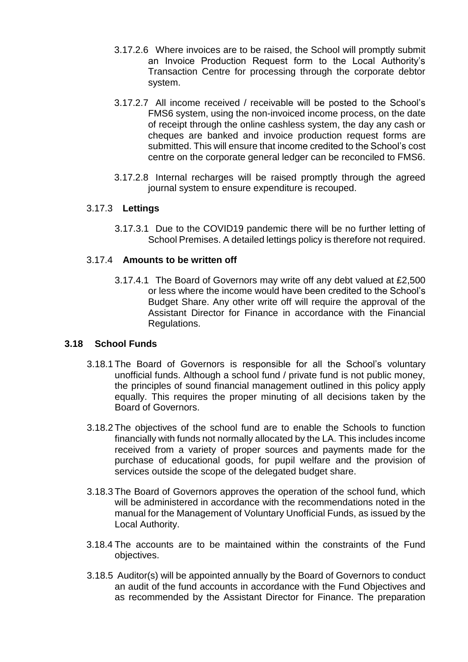- 3.17.2.6 Where invoices are to be raised, the School will promptly submit an Invoice Production Request form to the Local Authority's Transaction Centre for processing through the corporate debtor system.
- 3.17.2.7 All income received / receivable will be posted to the School's FMS6 system, using the non-invoiced income process, on the date of receipt through the online cashless system, the day any cash or cheques are banked and invoice production request forms are submitted. This will ensure that income credited to the School's cost centre on the corporate general ledger can be reconciled to FMS6.
- 3.17.2.8 Internal recharges will be raised promptly through the agreed journal system to ensure expenditure is recouped.

### 3.17.3 **Lettings**

3.17.3.1 Due to the COVID19 pandemic there will be no further letting of School Premises. A detailed lettings policy is therefore not required.

### 3.17.4 **Amounts to be written off**

3.17.4.1 The Board of Governors may write off any debt valued at £2,500 or less where the income would have been credited to the School's Budget Share. Any other write off will require the approval of the Assistant Director for Finance in accordance with the Financial Regulations.

#### **3.18 School Funds**

- 3.18.1 The Board of Governors is responsible for all the School's voluntary unofficial funds. Although a school fund / private fund is not public money, the principles of sound financial management outlined in this policy apply equally. This requires the proper minuting of all decisions taken by the Board of Governors.
- 3.18.2 The objectives of the school fund are to enable the Schools to function financially with funds not normally allocated by the LA. This includes income received from a variety of proper sources and payments made for the purchase of educational goods, for pupil welfare and the provision of services outside the scope of the delegated budget share.
- 3.18.3 The Board of Governors approves the operation of the school fund, which will be administered in accordance with the recommendations noted in the manual for the Management of Voluntary Unofficial Funds, as issued by the Local Authority.
- 3.18.4 The accounts are to be maintained within the constraints of the Fund objectives.
- 3.18.5 Auditor(s) will be appointed annually by the Board of Governors to conduct an audit of the fund accounts in accordance with the Fund Objectives and as recommended by the Assistant Director for Finance. The preparation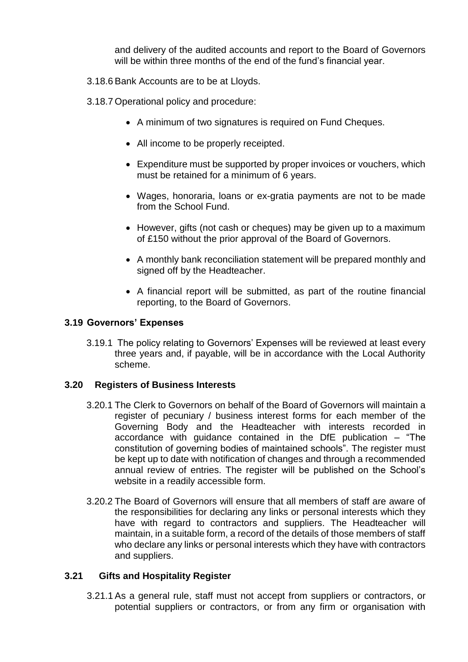and delivery of the audited accounts and report to the Board of Governors will be within three months of the end of the fund's financial year.

- 3.18.6 Bank Accounts are to be at Lloyds.
- 3.18.7 Operational policy and procedure:
	- A minimum of two signatures is required on Fund Cheques.
	- All income to be properly receipted.
	- Expenditure must be supported by proper invoices or vouchers, which must be retained for a minimum of 6 years.
	- Wages, honoraria, loans or ex-gratia payments are not to be made from the School Fund.
	- However, gifts (not cash or cheques) may be given up to a maximum of £150 without the prior approval of the Board of Governors.
	- A monthly bank reconciliation statement will be prepared monthly and signed off by the Headteacher.
	- A financial report will be submitted, as part of the routine financial reporting, to the Board of Governors.

#### **3.19 Governors' Expenses**

3.19.1 The policy relating to Governors' Expenses will be reviewed at least every three years and, if payable, will be in accordance with the Local Authority scheme.

#### **3.20 Registers of Business Interests**

- 3.20.1 The Clerk to Governors on behalf of the Board of Governors will maintain a register of pecuniary / business interest forms for each member of the Governing Body and the Headteacher with interests recorded in accordance with guidance contained in the DfE publication – "The constitution of governing bodies of maintained schools". The register must be kept up to date with notification of changes and through a recommended annual review of entries. The register will be published on the School's website in a readily accessible form.
- 3.20.2 The Board of Governors will ensure that all members of staff are aware of the responsibilities for declaring any links or personal interests which they have with regard to contractors and suppliers. The Headteacher will maintain, in a suitable form, a record of the details of those members of staff who declare any links or personal interests which they have with contractors and suppliers.

# **3.21 Gifts and Hospitality Register**

3.21.1 As a general rule, staff must not accept from suppliers or contractors, or potential suppliers or contractors, or from any firm or organisation with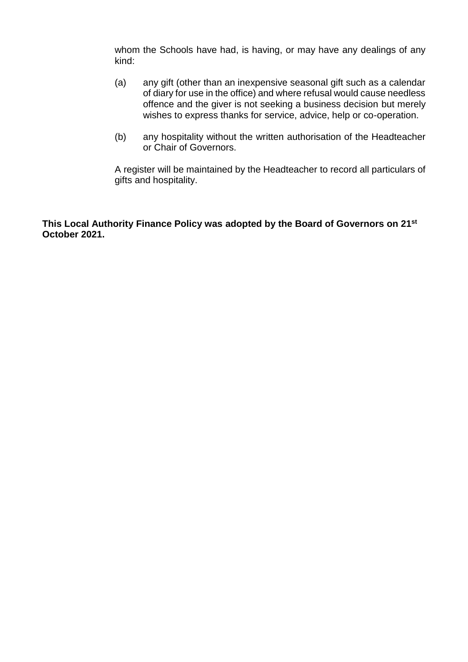whom the Schools have had, is having, or may have any dealings of any kind:

- (a) any gift (other than an inexpensive seasonal gift such as a calendar of diary for use in the office) and where refusal would cause needless offence and the giver is not seeking a business decision but merely wishes to express thanks for service, advice, help or co-operation.
- (b) any hospitality without the written authorisation of the Headteacher or Chair of Governors.

A register will be maintained by the Headteacher to record all particulars of gifts and hospitality.

**This Local Authority Finance Policy was adopted by the Board of Governors on 21st October 2021.**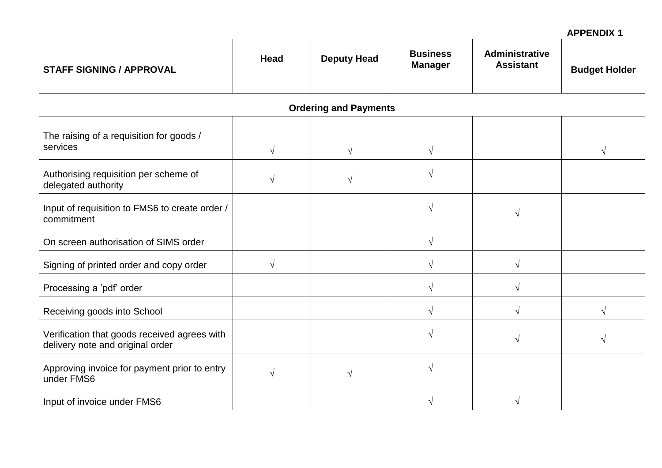### **APPENDIX 1**

| <b>STAFF SIGNING / APPROVAL</b>                                                  | <b>Head</b> | <b>Deputy Head</b>           | <b>Business</b><br><b>Manager</b> | <b>Administrative</b><br><b>Assistant</b> | <b>Budget Holder</b> |
|----------------------------------------------------------------------------------|-------------|------------------------------|-----------------------------------|-------------------------------------------|----------------------|
|                                                                                  |             | <b>Ordering and Payments</b> |                                   |                                           |                      |
| The raising of a requisition for goods /<br>services                             | $\sqrt{ }$  | $\sqrt{}$                    | $\sqrt{}$                         |                                           | $\sqrt{ }$           |
| Authorising requisition per scheme of<br>delegated authority                     | $\sqrt{ }$  | V                            |                                   |                                           |                      |
| Input of requisition to FMS6 to create order /<br>commitment                     |             |                              | V                                 | V                                         |                      |
| On screen authorisation of SIMS order                                            |             |                              | $\sqrt{}$                         |                                           |                      |
| Signing of printed order and copy order                                          | $\sqrt{ }$  |                              | ٦                                 |                                           |                      |
| Processing a 'pdf' order                                                         |             |                              | V                                 |                                           |                      |
| Receiving goods into School                                                      |             |                              | $\sqrt{}$                         |                                           |                      |
| Verification that goods received agrees with<br>delivery note and original order |             |                              |                                   |                                           |                      |
| Approving invoice for payment prior to entry<br>under FMS6                       | $\sqrt{ }$  | $\sqrt{}$                    |                                   |                                           |                      |
| Input of invoice under FMS6                                                      |             |                              | ٦                                 |                                           |                      |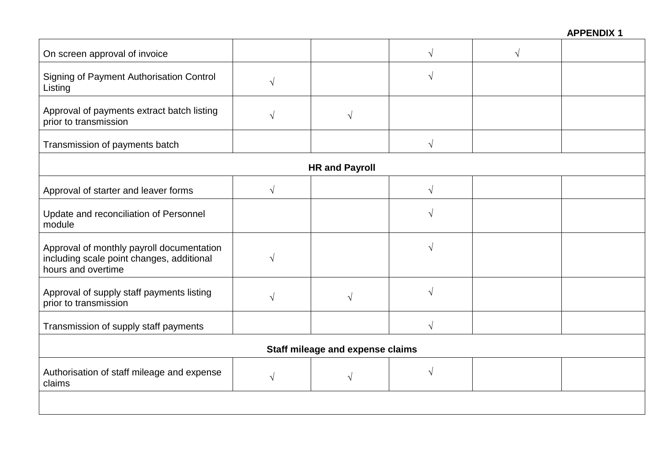| On screen approval of invoice                                                                                |            |                       | $\sqrt{ }$ |  |
|--------------------------------------------------------------------------------------------------------------|------------|-----------------------|------------|--|
| Signing of Payment Authorisation Control<br>Listing                                                          | $\sqrt{ }$ |                       | $\sqrt{ }$ |  |
| Approval of payments extract batch listing<br>prior to transmission                                          | $\sqrt{ }$ | V                     |            |  |
| Transmission of payments batch                                                                               |            |                       | $\sqrt{}$  |  |
|                                                                                                              |            | <b>HR and Payroll</b> |            |  |
| Approval of starter and leaver forms                                                                         | $\sqrt{ }$ |                       | $\sqrt{ }$ |  |
| Update and reconciliation of Personnel<br>module                                                             |            |                       | $\sqrt{ }$ |  |
| Approval of monthly payroll documentation<br>including scale point changes, additional<br>hours and overtime | $\sqrt{ }$ |                       | $\sqrt{ }$ |  |
| Approval of supply staff payments listing<br>prior to transmission                                           | $\sqrt{ }$ |                       | $\sqrt{ }$ |  |
| Transmission of supply staff payments                                                                        |            |                       | $\sqrt{ }$ |  |
| <b>Staff mileage and expense claims</b>                                                                      |            |                       |            |  |
| Authorisation of staff mileage and expense<br>claims                                                         | $\sqrt{ }$ | V                     | $\sqrt{ }$ |  |
|                                                                                                              |            |                       |            |  |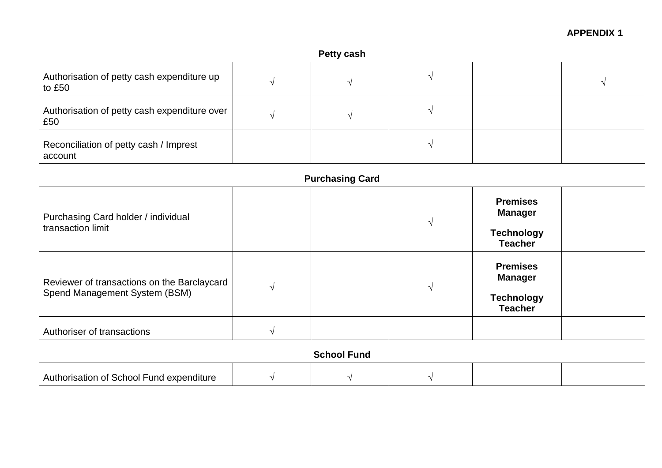# **APPENDIX 1**

| <b>Petty cash</b>                                                            |            |                        |           |                                                                          |  |
|------------------------------------------------------------------------------|------------|------------------------|-----------|--------------------------------------------------------------------------|--|
| Authorisation of petty cash expenditure up<br>to £50                         | $\sqrt{ }$ | $\sqrt{}$              | $\sqrt{}$ |                                                                          |  |
| Authorisation of petty cash expenditure over<br>£50                          | $\sqrt{ }$ | V                      | $\sqrt{}$ |                                                                          |  |
| Reconciliation of petty cash / Imprest<br>account                            |            |                        | $\sqrt{}$ |                                                                          |  |
|                                                                              |            | <b>Purchasing Card</b> |           |                                                                          |  |
| Purchasing Card holder / individual<br>transaction limit                     |            |                        | $\sqrt{}$ | <b>Premises</b><br><b>Manager</b><br><b>Technology</b><br><b>Teacher</b> |  |
| Reviewer of transactions on the Barclaycard<br>Spend Management System (BSM) | $\sqrt{ }$ |                        | V         | <b>Premises</b><br><b>Manager</b><br><b>Technology</b><br><b>Teacher</b> |  |
| Authoriser of transactions                                                   | $\sqrt{ }$ |                        |           |                                                                          |  |
| <b>School Fund</b>                                                           |            |                        |           |                                                                          |  |
| Authorisation of School Fund expenditure                                     | $\sqrt{ }$ |                        |           |                                                                          |  |